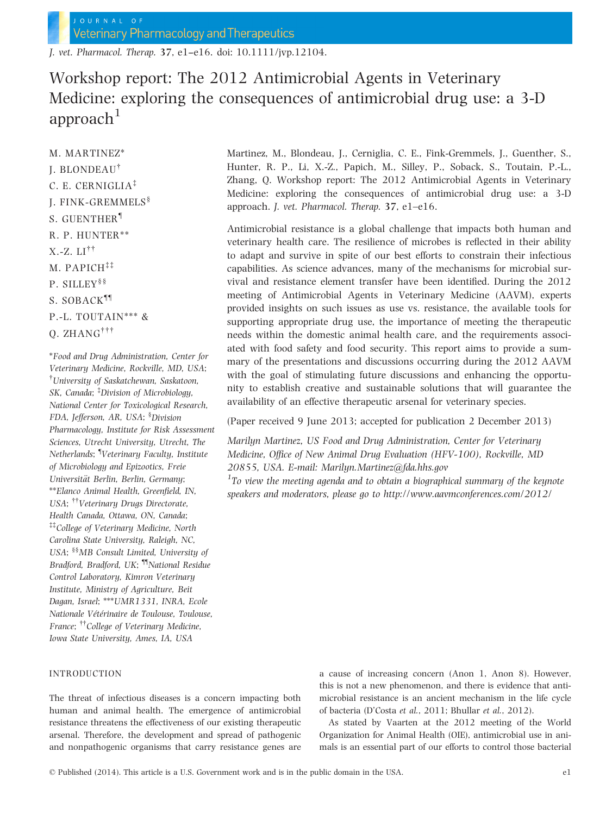J. vet. Pharmacol. Therap. 37, e1-e16. doi: 10.1111/jvp.12104.

# Workshop report: The 2012 Antimicrobial Agents in Veterinary Medicine: exploring the consequences of antimicrobial drug use: a 3-D approach $1$

M. MARTINEZ\* J. BLONDEAU† C. E. CERNIGLIA‡ J. FINK-GREMMELS§ S. GUENTHER¶ R. P. HUNTER\*\* X.-Z. LI†† M. PAPICH<sup>##</sup> P. SILLEY§§ S. SOBACK¶¶ P.-L. TOUTAIN\*\*\* & Q. ZHANG†††

\*Food and Drug Administration, Center for Veterinary Medicine, Rockville, MD, USA; † University of Saskatchewan, Saskatoon, SK, Canada; ‡ Division of Microbiology, National Center for Toxicological Research, FDA, Jefferson, AR, USA; § Division Pharmacology, Institute for Risk Assessment Sciences, Utrecht University, Utrecht, The Netherlands; ¶ Veterinary Faculty, Institute of Microbiology and Epizootics, Freie Universität Berlin, Berlin, Germany; \*\*Elanco Animal Health, Greenfield, IN, USA; ††Veterinary Drugs Directorate, Health Canada, Ottawa, ON, Canada; ‡‡College of Veterinary Medicine, North Carolina State University, Raleigh, NC, USA; §§MB Consult Limited, University of Bradford, Bradford, UK; ¶¶National Residue Control Laboratory, Kimron Veterinary Institute, Ministry of Agriculture, Beit Dagan, Israel; \*\*\*UMR1331, INRA, Ecole Nationale Vétérinaire de Toulouse, Toulouse, France; ††College of Veterinary Medicine, Iowa State University, Ames, IA, USA

## INTRODUCTION

The threat of infectious diseases is a concern impacting both human and animal health. The emergence of antimicrobial resistance threatens the effectiveness of our existing therapeutic arsenal. Therefore, the development and spread of pathogenic and nonpathogenic organisms that carry resistance genes are

Martinez, M., Blondeau, J., Cerniglia, C. E., Fink-Gremmels, J., Guenther, S., Hunter, R. P., Li, X.-Z., Papich, M., Silley, P., Soback, S., Toutain, P.-L., Zhang, Q. Workshop report: The 2012 Antimicrobial Agents in Veterinary Medicine: exploring the consequences of antimicrobial drug use: a 3-D approach. J. vet. Pharmacol. Therap. 37, e1–e16.

Antimicrobial resistance is a global challenge that impacts both human and veterinary health care. The resilience of microbes is reflected in their ability to adapt and survive in spite of our best efforts to constrain their infectious capabilities. As science advances, many of the mechanisms for microbial survival and resistance element transfer have been identified. During the 2012 meeting of Antimicrobial Agents in Veterinary Medicine (AAVM), experts provided insights on such issues as use vs. resistance, the available tools for supporting appropriate drug use, the importance of meeting the therapeutic needs within the domestic animal health care, and the requirements associated with food safety and food security. This report aims to provide a summary of the presentations and discussions occurring during the 2012 AAVM with the goal of stimulating future discussions and enhancing the opportunity to establish creative and sustainable solutions that will guarantee the availability of an effective therapeutic arsenal for veterinary species.

(Paper received 9 June 2013; accepted for publication 2 December 2013)

Marilyn Martinez, US Food and Drug Administration, Center for Veterinary Medicine, Office of New Animal Drug Evaluation (HFV-100), Rockville, MD 20855, USA. E-mail: Marilyn.Martinez@fda.hhs.gov

 $1$ To view the meeting agenda and to obtain a biographical summary of the keynote speakers and moderators, please go to http://www.aavmconferences.com/2012/

> a cause of increasing concern (Anon 1, Anon 8). However, this is not a new phenomenon, and there is evidence that antimicrobial resistance is an ancient mechanism in the life cycle of bacteria (D'Costa et al., 2011; Bhullar et al., 2012).

> As stated by Vaarten at the 2012 meeting of the World Organization for Animal Health (OIE), antimicrobial use in animals is an essential part of our efforts to control those bacterial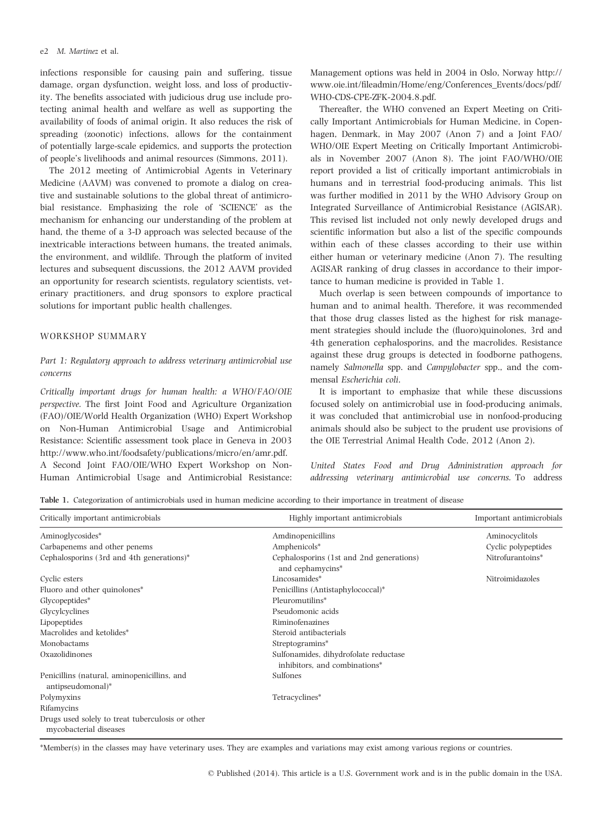infections responsible for causing pain and suffering, tissue damage, organ dysfunction, weight loss, and loss of productivity. The benefits associated with judicious drug use include protecting animal health and welfare as well as supporting the availability of foods of animal origin. It also reduces the risk of spreading (zoonotic) infections, allows for the containment of potentially large-scale epidemics, and supports the protection of people's livelihoods and animal resources (Simmons, 2011).

The 2012 meeting of Antimicrobial Agents in Veterinary Medicine (AAVM) was convened to promote a dialog on creative and sustainable solutions to the global threat of antimicrobial resistance. Emphasizing the role of 'SCIENCE' as the mechanism for enhancing our understanding of the problem at hand, the theme of a 3-D approach was selected because of the inextricable interactions between humans, the treated animals, the environment, and wildlife. Through the platform of invited lectures and subsequent discussions, the 2012 AAVM provided an opportunity for research scientists, regulatory scientists, veterinary practitioners, and drug sponsors to explore practical solutions for important public health challenges.

#### WORKSHOP SUMMARY

# Part 1: Regulatory approach to address veterinary antimicrobial use concerns

Critically important drugs for human health: a WHO/FAO/OIE perspective. The first Joint Food and Agriculture Organization (FAO)/OIE/World Health Organization (WHO) Expert Workshop on Non-Human Antimicrobial Usage and Antimicrobial Resistance: Scientific assessment took place in Geneva in 2003 http://www.who.int/foodsafety/publications/micro/en/amr.pdf. A Second Joint FAO/OIE/WHO Expert Workshop on Non-Human Antimicrobial Usage and Antimicrobial Resistance: Management options was held in 2004 in Oslo, Norway http:// www.oie.int/fileadmin/Home/eng/Conferences\_Events/docs/pdf/ WHO-CDS-CPE-ZFK-2004.8.pdf.

Thereafter, the WHO convened an Expert Meeting on Critically Important Antimicrobials for Human Medicine, in Copenhagen, Denmark, in May 2007 (Anon 7) and a Joint FAO/ WHO/OIE Expert Meeting on Critically Important Antimicrobials in November 2007 (Anon 8). The joint FAO/WHO/OIE report provided a list of critically important antimicrobials in humans and in terrestrial food-producing animals. This list was further modified in 2011 by the WHO Advisory Group on Integrated Surveillance of Antimicrobial Resistance (AGISAR). This revised list included not only newly developed drugs and scientific information but also a list of the specific compounds within each of these classes according to their use within either human or veterinary medicine (Anon 7). The resulting AGISAR ranking of drug classes in accordance to their importance to human medicine is provided in Table 1.

Much overlap is seen between compounds of importance to human and to animal health. Therefore, it was recommended that those drug classes listed as the highest for risk management strategies should include the (fluoro)quinolones, 3rd and 4th generation cephalosporins, and the macrolides. Resistance against these drug groups is detected in foodborne pathogens, namely Salmonella spp. and Campylobacter spp., and the commensal Escherichia coli.

It is important to emphasize that while these discussions focused solely on antimicrobial use in food-producing animals, it was concluded that antimicrobial use in nonfood-producing animals should also be subject to the prudent use provisions of the OIE Terrestrial Animal Health Code, 2012 (Anon 2).

United States Food and Drug Administration approach for addressing veterinary antimicrobial use concerns. To address

Table 1. Categorization of antimicrobials used in human medicine according to their importance in treatment of disease

| Critically important antimicrobials                                        | Highly important antimicrobials                                                  | Important antimicrobials |  |
|----------------------------------------------------------------------------|----------------------------------------------------------------------------------|--------------------------|--|
| Aminoglycosides*                                                           | Amdinopenicillins                                                                | Aminocyclitols           |  |
| Carbapenems and other penems                                               | Amphenicols*                                                                     | Cyclic polypeptides      |  |
| Cephalosporins (3rd and 4th generations)*                                  | Nitrofurantoins*<br>Cephalosporins (1st and 2nd generations)<br>and cephamycins* |                          |  |
| Cyclic esters                                                              | Lincosamides*<br>Nitroimidazoles                                                 |                          |  |
| Fluoro and other quinolones*                                               | Penicillins (Antistaphylococcal)*                                                |                          |  |
| $Gly copeptides*$                                                          | Pleuromutilins*                                                                  |                          |  |
| Glycylcyclines                                                             | Pseudomonic acids                                                                |                          |  |
| Lipopeptides                                                               | Riminofenazines                                                                  |                          |  |
| Macrolides and ketolides*                                                  | Steroid antibacterials                                                           |                          |  |
| Monobactams                                                                | Streptogramins*                                                                  |                          |  |
| Oxazolidinones                                                             | Sulfonamides, dihydrofolate reductase                                            |                          |  |
|                                                                            | inhibitors, and combinations*                                                    |                          |  |
| Penicillins (natural, aminopenicillins, and<br>antipseudomonal)*           | Sulfones                                                                         |                          |  |
| Polymyxins                                                                 | Tetracyclines*                                                                   |                          |  |
| Rifamycins                                                                 |                                                                                  |                          |  |
| Drugs used solely to treat tuberculosis or other<br>mycobacterial diseases |                                                                                  |                          |  |

\*Member(s) in the classes may have veterinary uses. They are examples and variations may exist among various regions or countries.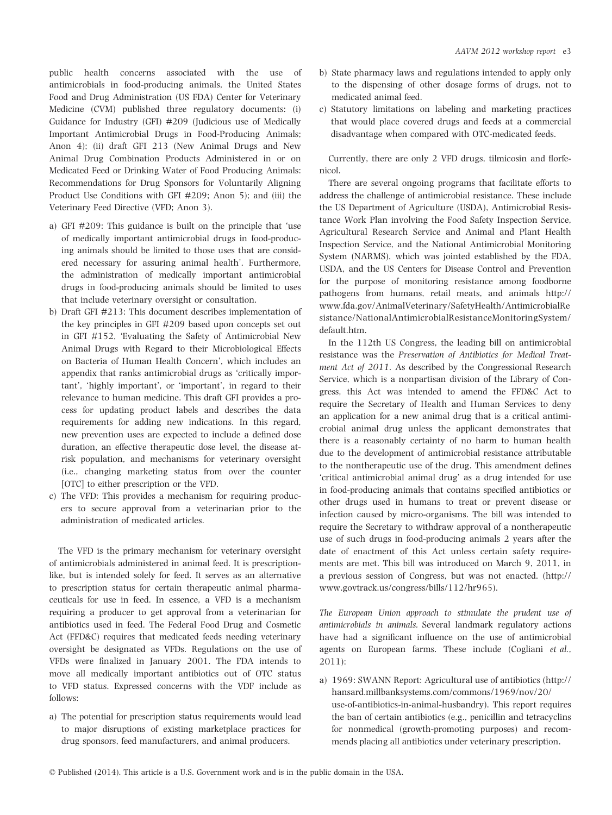public health concerns associated with the use of antimicrobials in food-producing animals, the United States Food and Drug Administration (US FDA) Center for Veterinary Medicine (CVM) published three regulatory documents: (i) Guidance for Industry (GFI) #209 (Judicious use of Medically Important Antimicrobial Drugs in Food-Producing Animals; Anon 4); (ii) draft GFI 213 (New Animal Drugs and New Animal Drug Combination Products Administered in or on Medicated Feed or Drinking Water of Food Producing Animals: Recommendations for Drug Sponsors for Voluntarily Aligning Product Use Conditions with GFI #209; Anon 5); and (iii) the Veterinary Feed Directive (VFD; Anon 3).

- a) GFI #209: This guidance is built on the principle that 'use of medically important antimicrobial drugs in food-producing animals should be limited to those uses that are considered necessary for assuring animal health'. Furthermore, the administration of medically important antimicrobial drugs in food-producing animals should be limited to uses that include veterinary oversight or consultation.
- b) Draft GFI #213: This document describes implementation of the key principles in GFI #209 based upon concepts set out in GFI #152, 'Evaluating the Safety of Antimicrobial New Animal Drugs with Regard to their Microbiological Effects on Bacteria of Human Health Concern', which includes an appendix that ranks antimicrobial drugs as 'critically important', 'highly important', or 'important', in regard to their relevance to human medicine. This draft GFI provides a process for updating product labels and describes the data requirements for adding new indications. In this regard, new prevention uses are expected to include a defined dose duration, an effective therapeutic dose level, the disease atrisk population, and mechanisms for veterinary oversight (i.e., changing marketing status from over the counter [OTC] to either prescription or the VFD.
- c) The VFD: This provides a mechanism for requiring producers to secure approval from a veterinarian prior to the administration of medicated articles.

The VFD is the primary mechanism for veterinary oversight of antimicrobials administered in animal feed. It is prescriptionlike, but is intended solely for feed. It serves as an alternative to prescription status for certain therapeutic animal pharmaceuticals for use in feed. In essence, a VFD is a mechanism requiring a producer to get approval from a veterinarian for antibiotics used in feed. The Federal Food Drug and Cosmetic Act (FFD&C) requires that medicated feeds needing veterinary oversight be designated as VFDs. Regulations on the use of VFDs were finalized in January 2001. The FDA intends to move all medically important antibiotics out of OTC status to VFD status. Expressed concerns with the VDF include as follows:

a) The potential for prescription status requirements would lead to major disruptions of existing marketplace practices for drug sponsors, feed manufacturers, and animal producers.

- b) State pharmacy laws and regulations intended to apply only to the dispensing of other dosage forms of drugs, not to medicated animal feed.
- c) Statutory limitations on labeling and marketing practices that would place covered drugs and feeds at a commercial disadvantage when compared with OTC-medicated feeds.

Currently, there are only 2 VFD drugs, tilmicosin and florfenicol.

There are several ongoing programs that facilitate efforts to address the challenge of antimicrobial resistance. These include the US Department of Agriculture (USDA), Antimicrobial Resistance Work Plan involving the Food Safety Inspection Service, Agricultural Research Service and Animal and Plant Health Inspection Service, and the National Antimicrobial Monitoring System (NARMS), which was jointed established by the FDA, USDA, and the US Centers for Disease Control and Prevention for the purpose of monitoring resistance among foodborne pathogens from humans, retail meats, and animals http:// www.fda.gov/AnimalVeterinary/SafetyHealth/AntimicrobialRe sistance/NationalAntimicrobialResistanceMonitoringSystem/ default.htm.

In the 112th US Congress, the leading bill on antimicrobial resistance was the Preservation of Antibiotics for Medical Treatment Act of 2011. As described by the Congressional Research Service, which is a nonpartisan division of the Library of Congress, this Act was intended to amend the FFD&C Act to require the Secretary of Health and Human Services to deny an application for a new animal drug that is a critical antimicrobial animal drug unless the applicant demonstrates that there is a reasonably certainty of no harm to human health due to the development of antimicrobial resistance attributable to the nontherapeutic use of the drug. This amendment defines 'critical antimicrobial animal drug' as a drug intended for use in food-producing animals that contains specified antibiotics or other drugs used in humans to treat or prevent disease or infection caused by micro-organisms. The bill was intended to require the Secretary to withdraw approval of a nontherapeutic use of such drugs in food-producing animals 2 years after the date of enactment of this Act unless certain safety requirements are met. This bill was introduced on March 9, 2011, in a previous session of Congress, but was not enacted. (http:// www.govtrack.us/congress/bills/112/hr965).

The European Union approach to stimulate the prudent use of antimicrobials in animals. Several landmark regulatory actions have had a significant influence on the use of antimicrobial agents on European farms. These include (Cogliani et al., 2011):

a) 1969: SWANN Report: Agricultural use of antibiotics (http:// hansard.millbanksystems.com/commons/1969/nov/20/ use-of-antibiotics-in-animal-husbandry). This report requires the ban of certain antibiotics (e.g., penicillin and tetracyclins for nonmedical (growth-promoting purposes) and recommends placing all antibiotics under veterinary prescription.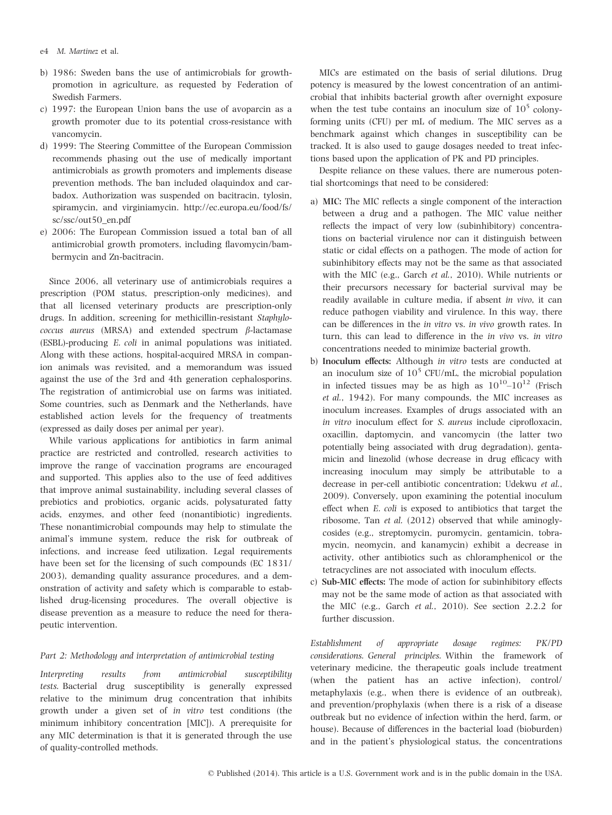- b) 1986: Sweden bans the use of antimicrobials for growthpromotion in agriculture, as requested by Federation of Swedish Farmers.
- c) 1997: the European Union bans the use of avoparcin as a growth promoter due to its potential cross-resistance with vancomycin.
- d) 1999: The Steering Committee of the European Commission recommends phasing out the use of medically important antimicrobials as growth promoters and implements disease prevention methods. The ban included olaquindox and carbadox. Authorization was suspended on bacitracin, tylosin, spiramycin, and virginiamycin. http://ec.europa.eu/food/fs/ sc/ssc/out50\_en.pdf
- e) 2006: The European Commission issued a total ban of all antimicrobial growth promoters, including flavomycin/bambermycin and Zn-bacitracin.

Since 2006, all veterinary use of antimicrobials requires a prescription (POM status, prescription-only medicines), and that all licensed veterinary products are prescription-only drugs. In addition, screening for methicillin-resistant Staphylococcus aureus (MRSA) and extended spectrum  $\beta$ -lactamase (ESBL)-producing E. coli in animal populations was initiated. Along with these actions, hospital-acquired MRSA in companion animals was revisited, and a memorandum was issued against the use of the 3rd and 4th generation cephalosporins. The registration of antimicrobial use on farms was initiated. Some countries, such as Denmark and the Netherlands, have established action levels for the frequency of treatments (expressed as daily doses per animal per year).

While various applications for antibiotics in farm animal practice are restricted and controlled, research activities to improve the range of vaccination programs are encouraged and supported. This applies also to the use of feed additives that improve animal sustainability, including several classes of prebiotics and probiotics, organic acids, polysaturated fatty acids, enzymes, and other feed (nonantibiotic) ingredients. These nonantimicrobial compounds may help to stimulate the animal's immune system, reduce the risk for outbreak of infections, and increase feed utilization. Legal requirements have been set for the licensing of such compounds (EC 1831/ 2003), demanding quality assurance procedures, and a demonstration of activity and safety which is comparable to established drug-licensing procedures. The overall objective is disease prevention as a measure to reduce the need for therapeutic intervention.

#### Part 2: Methodology and interpretation of antimicrobial testing

Interpreting results from antimicrobial susceptibility tests. Bacterial drug susceptibility is generally expressed relative to the minimum drug concentration that inhibits growth under a given set of in vitro test conditions (the minimum inhibitory concentration [MIC]). A prerequisite for any MIC determination is that it is generated through the use of quality-controlled methods.

MICs are estimated on the basis of serial dilutions. Drug potency is measured by the lowest concentration of an antimicrobial that inhibits bacterial growth after overnight exposure when the test tube contains an inoculum size of  $10^5$  colonyforming units (CFU) per mL of medium. The MIC serves as a benchmark against which changes in susceptibility can be tracked. It is also used to gauge dosages needed to treat infections based upon the application of PK and PD principles.

Despite reliance on these values, there are numerous potential shortcomings that need to be considered:

- a) MIC: The MIC reflects a single component of the interaction between a drug and a pathogen. The MIC value neither reflects the impact of very low (subinhibitory) concentrations on bacterial virulence nor can it distinguish between static or cidal effects on a pathogen. The mode of action for subinhibitory effects may not be the same as that associated with the MIC (e.g., Garch et al., 2010). While nutrients or their precursors necessary for bacterial survival may be readily available in culture media, if absent in vivo, it can reduce pathogen viability and virulence. In this way, there can be differences in the in vitro vs. in vivo growth rates. In turn, this can lead to difference in the in vivo vs. in vitro concentrations needed to minimize bacterial growth.
- b) Inoculum effects: Although in vitro tests are conducted at an inoculum size of  $10^5$  CFU/mL, the microbial population in infected tissues may be as high as  $10^{10}$ – $10^{12}$  (Frisch et al., 1942). For many compounds, the MIC increases as inoculum increases. Examples of drugs associated with an in vitro inoculum effect for S. aureus include ciprofloxacin, oxacillin, daptomycin, and vancomycin (the latter two potentially being associated with drug degradation), gentamicin and linezolid (whose decrease in drug efficacy with increasing inoculum may simply be attributable to a decrease in per-cell antibiotic concentration; Udekwu et al., 2009). Conversely, upon examining the potential inoculum effect when E. coli is exposed to antibiotics that target the ribosome, Tan et al. (2012) observed that while aminoglycosides (e.g., streptomycin, puromycin, gentamicin, tobramycin, neomycin, and kanamycin) exhibit a decrease in activity, other antibiotics such as chloramphenicol or the tetracyclines are not associated with inoculum effects.
- c) Sub-MIC effects: The mode of action for subinhibitory effects may not be the same mode of action as that associated with the MIC (e.g., Garch et al., 2010). See section 2.2.2 for further discussion.

Establishment of appropriate dosage regimes: PK/PD considerations. General principles. Within the framework of veterinary medicine, the therapeutic goals include treatment (when the patient has an active infection), control/ metaphylaxis (e.g., when there is evidence of an outbreak), and prevention/prophylaxis (when there is a risk of a disease outbreak but no evidence of infection within the herd, farm, or house). Because of differences in the bacterial load (bioburden) and in the patient's physiological status, the concentrations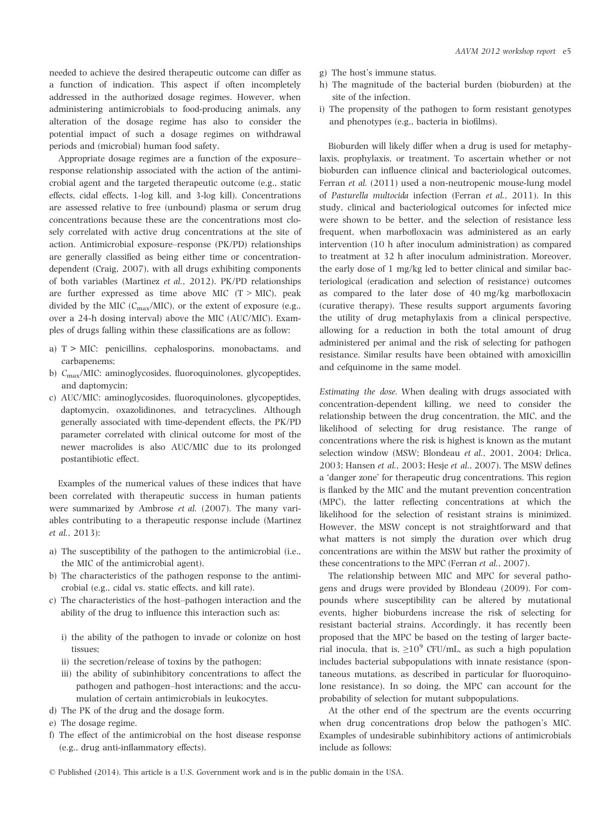needed to achieve the desired therapeutic outcome can differ as a function of indication. This aspect if often incompletely addressed in the authorized dosage regimes. However, when administering antimicrobials to food-producing animals, any alteration of the dosage regime has also to consider the potential impact of such a dosage regimes on withdrawal periods and (microbial) human food safety.

Appropriate dosage regimes are a function of the exposure– response relationship associated with the action of the antimicrobial agent and the targeted therapeutic outcome (e.g., static effects, cidal effects, 1-log kill, and 3-log kill). Concentrations are assessed relative to free (unbound) plasma or serum drug concentrations because these are the concentrations most closely correlated with active drug concentrations at the site of action. Antimicrobial exposure–response (PK/PD) relationships are generally classified as being either time or concentrationdependent (Craig, 2007), with all drugs exhibiting components of both variables (Martinez et al., 2012). PK/PD relationships are further expressed as time above MIC  $(T > MIC)$ , peak divided by the MIC ( $C_{\text{max}}/MIC$ ), or the extent of exposure (e.g., over a 24-h dosing interval) above the MIC (AUC/MIC). Examples of drugs falling within these classifications are as follow:

- a) T > MIC: penicillins, cephalosporins, monobactams, and carbapenems;
- b)  $C_{\text{max}}/$ MIC: aminoglycosides, fluoroquinolones, glycopeptides, and daptomycin;
- c) AUC/MIC: aminoglycosides, fluoroquinolones, glycopeptides, daptomycin, oxazolidinones, and tetracyclines. Although generally associated with time-dependent effects, the PK/PD parameter correlated with clinical outcome for most of the newer macrolides is also AUC/MIC due to its prolonged postantibiotic effect.

Examples of the numerical values of these indices that have been correlated with therapeutic success in human patients were summarized by Ambrose et al. (2007). The many variables contributing to a therapeutic response include (Martinez et al., 2013):

- a) The susceptibility of the pathogen to the antimicrobial (i.e., the MIC of the antimicrobial agent).
- b) The characteristics of the pathogen response to the antimicrobial (e.g., cidal vs. static effects, and kill rate).
- c) The characteristics of the host–pathogen interaction and the ability of the drug to influence this interaction such as:
	- i) the ability of the pathogen to invade or colonize on host tissues;
	- ii) the secretion/release of toxins by the pathogen;
	- iii) the ability of subinhibitory concentrations to affect the pathogen and pathogen–host interactions; and the accumulation of certain antimicrobials in leukocytes.
- d) The PK of the drug and the dosage form.
- e) The dosage regime.
- f) The effect of the antimicrobial on the host disease response (e.g., drug anti-inflammatory effects).
- g) The host's immune status.
- h) The magnitude of the bacterial burden (bioburden) at the site of the infection.
- i) The propensity of the pathogen to form resistant genotypes and phenotypes (e.g., bacteria in biofilms).

Bioburden will likely differ when a drug is used for metaphylaxis, prophylaxis, or treatment. To ascertain whether or not bioburden can influence clinical and bacteriological outcomes, Ferran et al. (2011) used a non-neutropenic mouse-lung model of Pasturella multocida infection (Ferran et al., 2011). In this study, clinical and bacteriological outcomes for infected mice were shown to be better, and the selection of resistance less frequent, when marbofloxacin was administered as an early intervention (10 h after inoculum administration) as compared to treatment at 32 h after inoculum administration. Moreover, the early dose of 1 mg/kg led to better clinical and similar bacteriological (eradication and selection of resistance) outcomes as compared to the later dose of 40 mg/kg marbofloxacin (curative therapy). These results support arguments favoring the utility of drug metaphylaxis from a clinical perspective, allowing for a reduction in both the total amount of drug administered per animal and the risk of selecting for pathogen resistance. Similar results have been obtained with amoxicillin and cefquinome in the same model.

Estimating the dose. When dealing with drugs associated with concentration-dependent killing, we need to consider the relationship between the drug concentration, the MIC, and the likelihood of selecting for drug resistance. The range of concentrations where the risk is highest is known as the mutant selection window (MSW; Blondeau et al., 2001, 2004; Drlica, 2003; Hansen et al., 2003; Hesje et al., 2007). The MSW defines a 'danger zone' for therapeutic drug concentrations. This region is flanked by the MIC and the mutant prevention concentration (MPC), the latter reflecting concentrations at which the likelihood for the selection of resistant strains is minimized. However, the MSW concept is not straightforward and that what matters is not simply the duration over which drug concentrations are within the MSW but rather the proximity of these concentrations to the MPC (Ferran et al., 2007).

The relationship between MIC and MPC for several pathogens and drugs were provided by Blondeau (2009). For compounds where susceptibility can be altered by mutational events, higher bioburdens increase the risk of selecting for resistant bacterial strains. Accordingly, it has recently been proposed that the MPC be based on the testing of larger bacterial inocula, that is,  $>10^9$  CFU/mL, as such a high population includes bacterial subpopulations with innate resistance (spontaneous mutations, as described in particular for fluoroquinolone resistance). In so doing, the MPC can account for the probability of selection for mutant subpopulations.

At the other end of the spectrum are the events occurring when drug concentrations drop below the pathogen's MIC. Examples of undesirable subinhibitory actions of antimicrobials include as follows: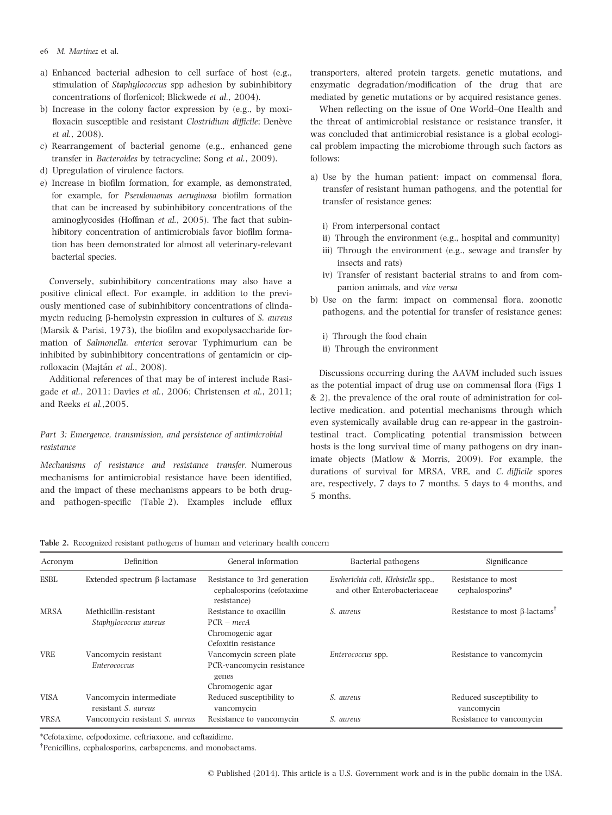- a) Enhanced bacterial adhesion to cell surface of host (e.g., stimulation of *Staphylococcus* spp adhesion by subinhibitory concentrations of florfenicol; Blickwede et al., 2004).
- b) Increase in the colony factor expression by (e.g., by moxifloxacin susceptible and resistant Clostridium difficile; Denève et al., 2008).
- c) Rearrangement of bacterial genome (e.g., enhanced gene transfer in Bacteroides by tetracycline; Song et al., 2009).
- d) Upregulation of virulence factors.
- e) Increase in biofilm formation, for example, as demonstrated, for example, for Pseudomonas aeruginosa biofilm formation that can be increased by subinhibitory concentrations of the aminoglycosides (Hoffman et al., 2005). The fact that subinhibitory concentration of antimicrobials favor biofilm formation has been demonstrated for almost all veterinary-relevant bacterial species.

Conversely, subinhibitory concentrations may also have a positive clinical effect. For example, in addition to the previously mentioned case of subinhibitory concentrations of clindamycin reducing β-hemolysin expression in cultures of *S. aureus* (Marsik & Parisi, 1973), the biofilm and exopolysaccharide formation of Salmonella. enterica serovar Typhimurium can be inhibited by subinhibitory concentrations of gentamicin or ciprofloxacin (Majtán et al., 2008).

Additional references of that may be of interest include Rasigade et al., 2011; Davies et al., 2006; Christensen et al., 2011; and Reeks et al.,2005.

# Part 3: Emergence, transmission, and persistence of antimicrobial resistance

Mechanisms of resistance and resistance transfer. Numerous mechanisms for antimicrobial resistance have been identified, and the impact of these mechanisms appears to be both drugand pathogen-specific (Table 2). Examples include efflux transporters, altered protein targets, genetic mutations, and enzymatic degradation/modification of the drug that are mediated by genetic mutations or by acquired resistance genes.

When reflecting on the issue of One World–One Health and the threat of antimicrobial resistance or resistance transfer, it was concluded that antimicrobial resistance is a global ecological problem impacting the microbiome through such factors as follows:

- a) Use by the human patient: impact on commensal flora, transfer of resistant human pathogens, and the potential for transfer of resistance genes:
	- i) From interpersonal contact
	- ii) Through the environment (e.g., hospital and community)
	- iii) Through the environment (e.g., sewage and transfer by insects and rats)
	- iv) Transfer of resistant bacterial strains to and from companion animals, and vice versa
- b) Use on the farm: impact on commensal flora, zoonotic pathogens, and the potential for transfer of resistance genes:
	- i) Through the food chain
	- ii) Through the environment

Discussions occurring during the AAVM included such issues as the potential impact of drug use on commensal flora (Figs 1 & 2), the prevalence of the oral route of administration for collective medication, and potential mechanisms through which even systemically available drug can re-appear in the gastrointestinal tract. Complicating potential transmission between hosts is the long survival time of many pathogens on dry inanimate objects (Matlow & Morris, 2009). For example, the durations of survival for MRSA, VRE, and C. difficile spores are, respectively, 7 days to 7 months, 5 days to 4 months, and 5 months.

Table 2. Recognized resistant pathogens of human and veterinary health concern

| Acronym     | Definition                                     | General information                                                                 | Bacterial pathogens                                                | Significance                                     |
|-------------|------------------------------------------------|-------------------------------------------------------------------------------------|--------------------------------------------------------------------|--------------------------------------------------|
| <b>ESBL</b> | Extended spectrum β-lactamase                  | Resistance to 3rd generation<br>cephalosporins (cefotaxime<br>resistance)           | Escherichia coli, Klebsiella spp.,<br>and other Enterobacteriaceae | Resistance to most<br>cephalosporins*            |
| <b>MRSA</b> | Methicillin-resistant<br>Staphylococcus aureus | Resistance to oxacillin<br>$PCR - mecA$<br>Chromogenic agar<br>Cefoxitin resistance | S. aureus                                                          | Resistance to most $\beta$ -lactams <sup>T</sup> |
| <b>VRE</b>  | Vancomycin resistant<br><i>Enterococcus</i>    | Vancomycin screen plate<br>PCR-vancomycin resistance<br>genes<br>Chromogenic agar   | Enterococcus spp.                                                  | Resistance to vancomycin                         |
| <b>VISA</b> | Vancomycin intermediate<br>resistant S. aureus | Reduced susceptibility to<br>vancomycin                                             | S. aureus                                                          | Reduced susceptibility to<br>vancomycin          |
| <b>VRSA</b> | Vancomycin resistant S. aureus                 | Resistance to vancomycin                                                            | S. aureus                                                          | Resistance to vancomycin                         |

\*Cefotaxime, cefpodoxime, ceftriaxone, and ceftazidime.

† Penicillins, cephalosporins, carbapenems, and monobactams.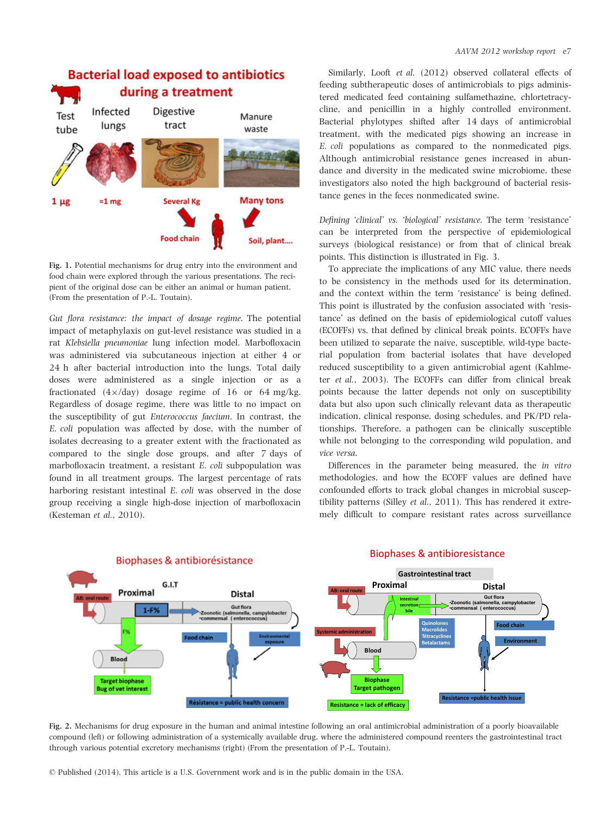

Fig. 1. Potential mechanisms for drug entry into the environment and food chain were explored through the various presentations. The recipient of the original dose can be either an animal or human patient. (From the presentation of P.-L. Toutain).

Gut flora resistance: the impact of dosage regime. The potential impact of metaphylaxis on gut-level resistance was studied in a rat Klebsiella pneumoniae lung infection model. Marbofloxacin was administered via subcutaneous injection at either 4 or 24 h after bacterial introduction into the lungs. Total daily doses were administered as a single injection or as a fractionated  $(4 \times$ /day) dosage regime of 16 or 64 mg/kg. Regardless of dosage regime, there was little to no impact on the susceptibility of gut Enterococcus faecium. In contrast, the E. coli population was affected by dose, with the number of isolates decreasing to a greater extent with the fractionated as compared to the single dose groups, and after 7 days of marbofloxacin treatment, a resistant E. coli subpopulation was found in all treatment groups. The largest percentage of rats harboring resistant intestinal E. coli was observed in the dose group receiving a single high-dose injection of marbofloxacin (Kesteman et al., 2010).

Similarly, Looft et al. (2012) observed collateral effects of feeding subtherapeutic doses of antimicrobials to pigs administered medicated feed containing sulfamethazine, chlortetracycline, and penicillin in a highly controlled environment. Bacterial phylotypes shifted after 14 days of antimicrobial treatment, with the medicated pigs showing an increase in E. coli populations as compared to the nonmedicated pigs. Although antimicrobial resistance genes increased in abundance and diversity in the medicated swine microbiome, these investigators also noted the high background of bacterial resistance genes in the feces nonmedicated swine.

Defining 'clinical' vs. 'biological' resistance. The term 'resistance' can be interpreted from the perspective of epidemiological surveys (biological resistance) or from that of clinical break points. This distinction is illustrated in Fig. 3.

To appreciate the implications of any MIC value, there needs to be consistency in the methods used for its determination, and the context within the term 'resistance' is being defined. This point is illustrated by the confusion associated with 'resistance' as defined on the basis of epidemiological cutoff values (ECOFFs) vs. that defined by clinical break points. ECOFFs have been utilized to separate the naive, susceptible, wild-type bacterial population from bacterial isolates that have developed reduced susceptibility to a given antimicrobial agent (Kahlmeter et al., 2003). The ECOFFs can differ from clinical break points because the latter depends not only on susceptibility data but also upon such clinically relevant data as therapeutic indication, clinical response, dosing schedules, and PK/PD relationships. Therefore, a pathogen can be clinically susceptible while not belonging to the corresponding wild population, and vice versa.

Differences in the parameter being measured, the in vitro methodologies, and how the ECOFF values are defined have confounded efforts to track global changes in microbial susceptibility patterns (Silley et al., 2011). This has rendered it extremely difficult to compare resistant rates across surveillance



Fig. 2. Mechanisms for drug exposure in the human and animal intestine following an oral antimicrobial administration of a poorly bioavailable compound (left) or following administration of a systemically available drug, where the administered compound reenters the gastrointestinal tract through various potential excretory mechanisms (right) (From the presentation of P.-L. Toutain).

© Published (2014). This article is a U.S. Government work and is in the public domain in the USA.

#### Biophases & antibioresistance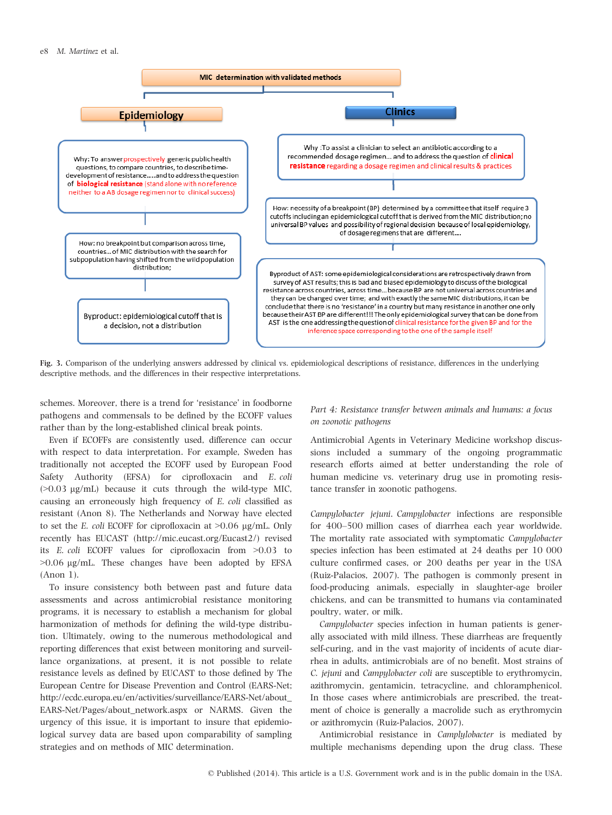

Fig. 3. Comparison of the underlying answers addressed by clinical vs. epidemiological descriptions of resistance, differences in the underlying descriptive methods, and the differences in their respective interpretations.

schemes. Moreover, there is a trend for 'resistance' in foodborne pathogens and commensals to be defined by the ECOFF values rather than by the long-established clinical break points.

Even if ECOFFs are consistently used, difference can occur with respect to data interpretation. For example, Sweden has traditionally not accepted the ECOFF used by European Food Safety Authority (EFSA) for ciprofloxacin and E. coli  $(0.03 \text{ µg/mL})$  because it cuts through the wild-type MIC, causing an erroneously high frequency of E. coli classified as resistant (Anon 8). The Netherlands and Norway have elected to set the E. coli ECOFF for ciprofloxacin at  $>0.06$  µg/mL. Only recently has EUCAST (http://mic.eucast.org/Eucast2/) revised its E. coli ECOFF values for ciprofloxacin from >0.03 to  $>0.06$  µg/mL. These changes have been adopted by EFSA (Anon 1).

To insure consistency both between past and future data assessments and across antimicrobial resistance monitoring programs, it is necessary to establish a mechanism for global harmonization of methods for defining the wild-type distribution. Ultimately, owing to the numerous methodological and reporting differences that exist between monitoring and surveillance organizations, at present, it is not possible to relate resistance levels as defined by EUCAST to those defined by The European Centre for Disease Prevention and Control (EARS-Net; http://ecdc.europa.eu/en/activities/surveillance/EARS-Net/about\_ EARS-Net/Pages/about\_network.aspx or NARMS. Given the urgency of this issue, it is important to insure that epidemiological survey data are based upon comparability of sampling strategies and on methods of MIC determination.

Part 4: Resistance transfer between animals and humans: a focus on zoonotic pathogens

Antimicrobial Agents in Veterinary Medicine workshop discussions included a summary of the ongoing programmatic research efforts aimed at better understanding the role of human medicine vs. veterinary drug use in promoting resistance transfer in zoonotic pathogens.

Campylobacter jejuni. Campylobacter infections are responsible for 400–500 million cases of diarrhea each year worldwide. The mortality rate associated with symptomatic Campylobacter species infection has been estimated at 24 deaths per 10 000 culture confirmed cases, or 200 deaths per year in the USA (Ruiz-Palacios, 2007). The pathogen is commonly present in food-producing animals, especially in slaughter-age broiler chickens, and can be transmitted to humans via contaminated poultry, water, or milk.

Campylobacter species infection in human patients is generally associated with mild illness. These diarrheas are frequently self-curing, and in the vast majority of incidents of acute diarrhea in adults, antimicrobials are of no benefit. Most strains of C. jejuni and Campylobacter coli are susceptible to erythromycin, azithromycin, gentamicin, tetracycline, and chloramphenicol. In those cases where antimicrobials are prescribed, the treatment of choice is generally a macrolide such as erythromycin or azithromycin (Ruiz-Palacios, 2007).

Antimicrobial resistance in Camplylobacter is mediated by multiple mechanisms depending upon the drug class. These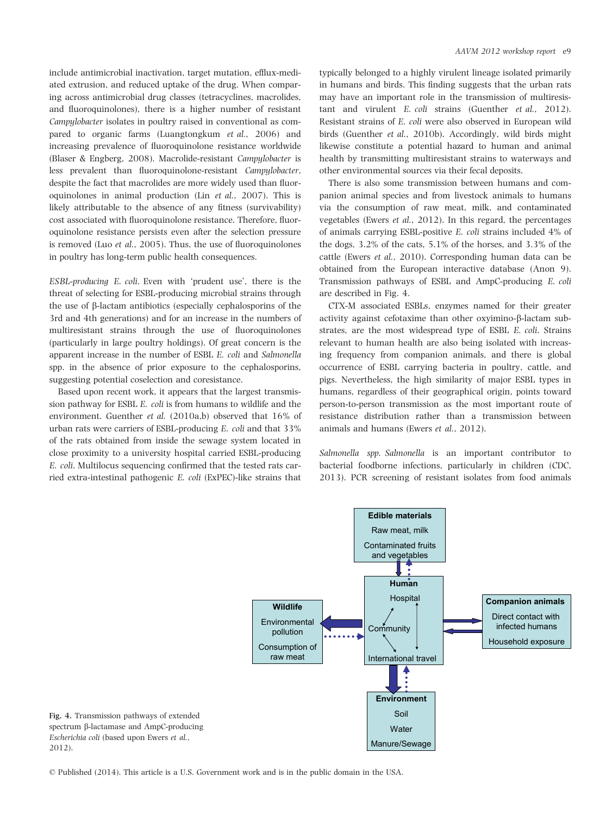include antimicrobial inactivation, target mutation, efflux-mediated extrusion, and reduced uptake of the drug. When comparing across antimicrobial drug classes (tetracyclines, macrolides, and fluoroquinolones), there is a higher number of resistant Campylobacter isolates in poultry raised in conventional as compared to organic farms (Luangtongkum et al., 2006) and increasing prevalence of fluoroquinolone resistance worldwide (Blaser & Engberg, 2008). Macrolide-resistant Campylobacter is less prevalent than fluoroquinolone-resistant Campylobacter, despite the fact that macrolides are more widely used than fluoroquinolones in animal production (Lin et al., 2007). This is likely attributable to the absence of any fitness (survivability) cost associated with fluoroquinolone resistance. Therefore, fluoroquinolone resistance persists even after the selection pressure is removed (Luo et al., 2005). Thus, the use of fluoroquinolones in poultry has long-term public health consequences.

ESBL-producing E. coli. Even with 'prudent use', there is the threat of selecting for ESBL-producing microbial strains through the use of  $\beta$ -lactam antibiotics (especially cephalosporins of the 3rd and 4th generations) and for an increase in the numbers of multiresistant strains through the use of fluoroquinolones (particularly in large poultry holdings). Of great concern is the apparent increase in the number of ESBL E. coli and Salmonella spp. in the absence of prior exposure to the cephalosporins, suggesting potential coselection and coresistance.

Based upon recent work, it appears that the largest transmission pathway for ESBL E. coli is from humans to wildlife and the environment. Guenther et al. (2010a,b) observed that 16% of urban rats were carriers of ESBL-producing E. coli and that 33% of the rats obtained from inside the sewage system located in close proximity to a university hospital carried ESBL-producing E. coli. Multilocus sequencing confirmed that the tested rats carried extra-intestinal pathogenic E. coli (ExPEC)-like strains that

typically belonged to a highly virulent lineage isolated primarily in humans and birds. This finding suggests that the urban rats may have an important role in the transmission of multiresistant and virulent E. coli strains (Guenther et al., 2012). Resistant strains of E. coli were also observed in European wild birds (Guenther et al., 2010b). Accordingly, wild birds might likewise constitute a potential hazard to human and animal health by transmitting multiresistant strains to waterways and other environmental sources via their fecal deposits.

There is also some transmission between humans and companion animal species and from livestock animals to humans via the consumption of raw meat, milk, and contaminated vegetables (Ewers et al., 2012). In this regard, the percentages of animals carrying ESBL-positive E. coli strains included 4% of the dogs, 3.2% of the cats, 5.1% of the horses, and 3.3% of the cattle (Ewers et al., 2010). Corresponding human data can be obtained from the European interactive database (Anon 9). Transmission pathways of ESBL and AmpC-producing E. coli are described in Fig. 4.

CTX-M associated ESBLs, enzymes named for their greater activity against cefotaxime than other oxyimino- $\beta$ -lactam substrates, are the most widespread type of ESBL E. coli. Strains relevant to human health are also being isolated with increasing frequency from companion animals, and there is global occurrence of ESBL carrying bacteria in poultry, cattle, and pigs. Nevertheless, the high similarity of major ESBL types in humans, regardless of their geographical origin, points toward person-to-person transmission as the most important route of resistance distribution rather than a transmission between animals and humans (Ewers et al., 2012).

Salmonella spp. Salmonella is an important contributor to bacterial foodborne infections, particularly in children (CDC, 2013). PCR screening of resistant isolates from food animals



Fig. 4. Transmission pathways of extended spectrum β-lactamase and AmpC-producing Escherichia coli (based upon Ewers et al., 2012).

© Published (2014). This article is a U.S. Government work and is in the public domain in the USA.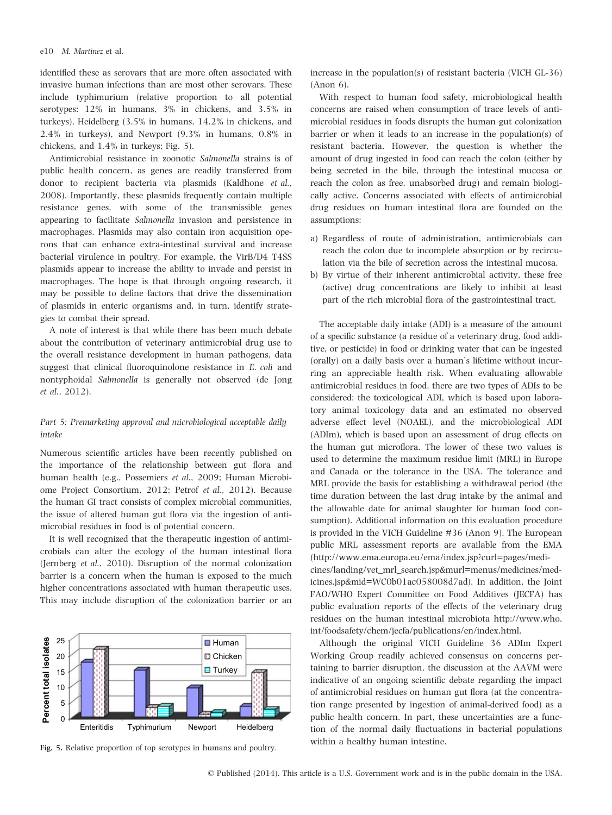identified these as serovars that are more often associated with invasive human infections than are most other serovars. These include typhimurium (relative proportion to all potential serotypes: 12% in humans, 3% in chickens, and 3.5% in turkeys), Heidelberg (3.5% in humans, 14.2% in chickens, and 2.4% in turkeys), and Newport (9.3% in humans, 0.8% in chickens, and 1.4% in turkeys; Fig. 5).

Antimicrobial resistance in zoonotic Salmonella strains is of public health concern, as genes are readily transferred from donor to recipient bacteria via plasmids (Kaldhone et al., 2008). Importantly, these plasmids frequently contain multiple resistance genes, with some of the transmissible genes appearing to facilitate Salmonella invasion and persistence in macrophages. Plasmids may also contain iron acquisition operons that can enhance extra-intestinal survival and increase bacterial virulence in poultry. For example, the VirB/D4 T4SS plasmids appear to increase the ability to invade and persist in macrophages. The hope is that through ongoing research, it may be possible to define factors that drive the dissemination of plasmids in enteric organisms and, in turn, identify strategies to combat their spread.

A note of interest is that while there has been much debate about the contribution of veterinary antimicrobial drug use to the overall resistance development in human pathogens, data suggest that clinical fluoroquinolone resistance in E. coli and nontyphoidal Salmonella is generally not observed (de Jong et al., 2012).

## Part 5: Premarketing approval and microbiological acceptable daily intake

Numerous scientific articles have been recently published on the importance of the relationship between gut flora and human health (e.g., Possemiers et al., 2009; Human Microbiome Project Consortium, 2012; Petrof et al., 2012). Because the human GI tract consists of complex microbial communities, the issue of altered human gut flora via the ingestion of antimicrobial residues in food is of potential concern.

It is well recognized that the therapeutic ingestion of antimicrobials can alter the ecology of the human intestinal flora (Jernberg et al., 2010). Disruption of the normal colonization barrier is a concern when the human is exposed to the much higher concentrations associated with human therapeutic uses. This may include disruption of the colonization barrier or an



Fig. 5. Relative proportion of top serotypes in humans and poultry.

increase in the population(s) of resistant bacteria (VICH GL-36) (Anon 6).

With respect to human food safety, microbiological health concerns are raised when consumption of trace levels of antimicrobial residues in foods disrupts the human gut colonization barrier or when it leads to an increase in the population(s) of resistant bacteria. However, the question is whether the amount of drug ingested in food can reach the colon (either by being secreted in the bile, through the intestinal mucosa or reach the colon as free, unabsorbed drug) and remain biologically active. Concerns associated with effects of antimicrobial drug residues on human intestinal flora are founded on the assumptions:

- a) Regardless of route of administration, antimicrobials can reach the colon due to incomplete absorption or by recirculation via the bile of secretion across the intestinal mucosa.
- b) By virtue of their inherent antimicrobial activity, these free (active) drug concentrations are likely to inhibit at least part of the rich microbial flora of the gastrointestinal tract.

The acceptable daily intake (ADI) is a measure of the amount of a specific substance (a residue of a veterinary drug, food additive, or pesticide) in food or drinking water that can be ingested (orally) on a daily basis over a human's lifetime without incurring an appreciable health risk. When evaluating allowable antimicrobial residues in food, there are two types of ADIs to be considered: the toxicological ADI, which is based upon laboratory animal toxicology data and an estimated no observed adverse effect level (NOAEL), and the microbiological ADI (ADIm), which is based upon an assessment of drug effects on the human gut microflora. The lower of these two values is used to determine the maximum residue limit (MRL) in Europe and Canada or the tolerance in the USA. The tolerance and MRL provide the basis for establishing a withdrawal period (the time duration between the last drug intake by the animal and the allowable date for animal slaughter for human food consumption). Additional information on this evaluation procedure is provided in the VICH Guideline #36 (Anon 9). The European public MRL assessment reports are available from the EMA (http://www.ema.europa.eu/ema/index.jsp?curl=pages/medi-

cines/landing/vet\_mrl\_search.jsp&murl=menus/medicines/medicines.jsp&mid=WC0b01ac058008d7ad). In addition, the Joint FAO/WHO Expert Committee on Food Additives (JECFA) has public evaluation reports of the effects of the veterinary drug residues on the human intestinal microbiota http://www.who. int/foodsafety/chem/jecfa/publications/en/index.html.

Although the original VICH Guideline 36 ADIm Expert Working Group readily achieved consensus on concerns pertaining to barrier disruption, the discussion at the AAVM were indicative of an ongoing scientific debate regarding the impact of antimicrobial residues on human gut flora (at the concentration range presented by ingestion of animal-derived food) as a public health concern. In part, these uncertainties are a function of the normal daily fluctuations in bacterial populations within a healthy human intestine.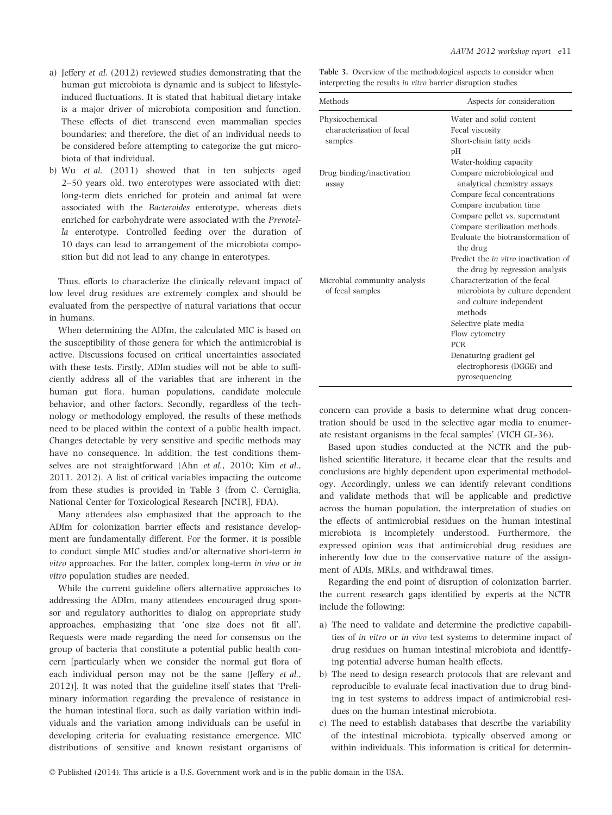- a) Jeffery et al. (2012) reviewed studies demonstrating that the human gut microbiota is dynamic and is subject to lifestyleinduced fluctuations. It is stated that habitual dietary intake is a major driver of microbiota composition and function. These effects of diet transcend even mammalian species boundaries; and therefore, the diet of an individual needs to be considered before attempting to categorize the gut microbiota of that individual.
- b) Wu et al. (2011) showed that in ten subjects aged 2–50 years old, two enterotypes were associated with diet: long-term diets enriched for protein and animal fat were associated with the Bacteroides enterotype, whereas diets enriched for carbohydrate were associated with the Prevotella enterotype. Controlled feeding over the duration of 10 days can lead to arrangement of the microbiota composition but did not lead to any change in enterotypes.

Thus, efforts to characterize the clinically relevant impact of low level drug residues are extremely complex and should be evaluated from the perspective of natural variations that occur in humans.

When determining the ADIm, the calculated MIC is based on the susceptibility of those genera for which the antimicrobial is active. Discussions focused on critical uncertainties associated with these tests. Firstly, ADIm studies will not be able to sufficiently address all of the variables that are inherent in the human gut flora, human populations, candidate molecule behavior, and other factors. Secondly, regardless of the technology or methodology employed, the results of these methods need to be placed within the context of a public health impact. Changes detectable by very sensitive and specific methods may have no consequence. In addition, the test conditions themselves are not straightforward (Ahn et al., 2010; Kim et al., 2011, 2012). A list of critical variables impacting the outcome from these studies is provided in Table 3 (from C. Cerniglia, National Center for Toxicological Research [NCTR], FDA).

Many attendees also emphasized that the approach to the ADIm for colonization barrier effects and resistance development are fundamentally different. For the former, it is possible to conduct simple MIC studies and/or alternative short-term in vitro approaches. For the latter, complex long-term in vivo or in vitro population studies are needed.

While the current guideline offers alternative approaches to addressing the ADIm, many attendees encouraged drug sponsor and regulatory authorities to dialog on appropriate study approaches, emphasizing that 'one size does not fit all'. Requests were made regarding the need for consensus on the group of bacteria that constitute a potential public health concern [particularly when we consider the normal gut flora of each individual person may not be the same (Jeffery et al., 2012)]. It was noted that the guideline itself states that 'Preliminary information regarding the prevalence of resistance in the human intestinal flora, such as daily variation within individuals and the variation among individuals can be useful in developing criteria for evaluating resistance emergence. MIC distributions of sensitive and known resistant organisms of Table 3. Overview of the methodological aspects to consider when interpreting the results in vitro barrier disruption studies

| Methods                      | Aspects for consideration                                               |
|------------------------------|-------------------------------------------------------------------------|
| Physicochemical              | Water and solid content                                                 |
| characterization of fecal    | Fecal viscosity                                                         |
| samples                      | Short-chain fatty acids                                                 |
|                              | pН                                                                      |
|                              | Water-holding capacity                                                  |
| Drug binding/inactivation    | Compare microbiological and                                             |
| assay                        | analytical chemistry assays                                             |
|                              | Compare fecal concentrations                                            |
|                              | Compare incubation time                                                 |
|                              | Compare pellet vs. supernatant                                          |
|                              | Compare sterilization methods                                           |
|                              | Evaluate the biotransformation of<br>the drug                           |
|                              | Predict the <i>in vitro</i> inactivation of                             |
|                              | the drug by regression analysis                                         |
| Microbial community analysis | Characterization of the fecal                                           |
| of fecal samples             | microbiota by culture dependent                                         |
|                              | and culture independent                                                 |
|                              | methods                                                                 |
|                              | Selective plate media                                                   |
|                              | Flow cytometry                                                          |
|                              | <b>PCR</b>                                                              |
|                              | Denaturing gradient gel<br>electrophoresis (DGGE) and<br>pyrosequencing |

concern can provide a basis to determine what drug concentration should be used in the selective agar media to enumerate resistant organisms in the fecal samples' (VICH GL-36).

Based upon studies conducted at the NCTR and the published scientific literature, it became clear that the results and conclusions are highly dependent upon experimental methodology. Accordingly, unless we can identify relevant conditions and validate methods that will be applicable and predictive across the human population, the interpretation of studies on the effects of antimicrobial residues on the human intestinal microbiota is incompletely understood. Furthermore, the expressed opinion was that antimicrobial drug residues are inherently low due to the conservative nature of the assignment of ADIs, MRLs, and withdrawal times.

Regarding the end point of disruption of colonization barrier, the current research gaps identified by experts at the NCTR include the following:

- a) The need to validate and determine the predictive capabilities of in vitro or in vivo test systems to determine impact of drug residues on human intestinal microbiota and identifying potential adverse human health effects.
- b) The need to design research protocols that are relevant and reproducible to evaluate fecal inactivation due to drug binding in test systems to address impact of antimicrobial residues on the human intestinal microbiota.
- c) The need to establish databases that describe the variability of the intestinal microbiota, typically observed among or within individuals. This information is critical for determin-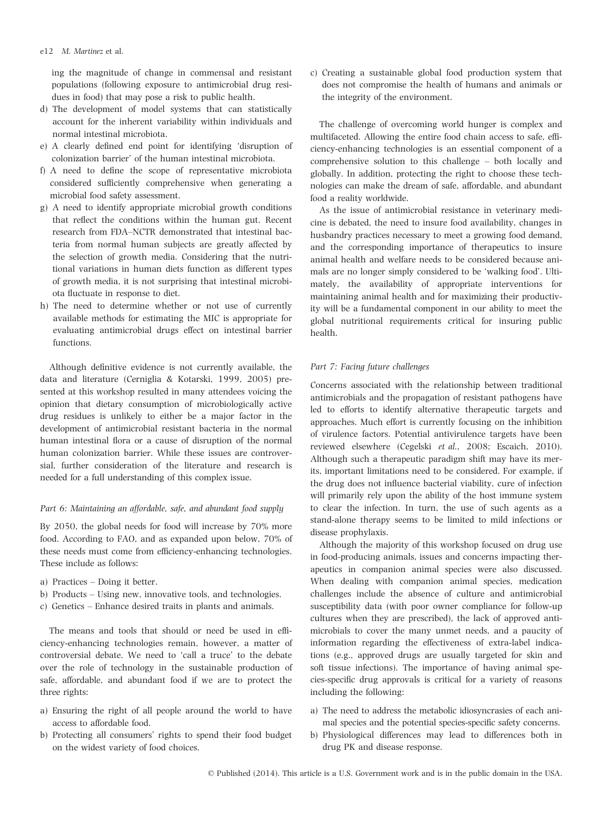ing the magnitude of change in commensal and resistant populations (following exposure to antimicrobial drug residues in food) that may pose a risk to public health.

- d) The development of model systems that can statistically account for the inherent variability within individuals and normal intestinal microbiota.
- e) A clearly defined end point for identifying 'disruption of colonization barrier' of the human intestinal microbiota.
- f) A need to define the scope of representative microbiota considered sufficiently comprehensive when generating a microbial food safety assessment.
- g) A need to identify appropriate microbial growth conditions that reflect the conditions within the human gut. Recent research from FDA–NCTR demonstrated that intestinal bacteria from normal human subjects are greatly affected by the selection of growth media. Considering that the nutritional variations in human diets function as different types of growth media, it is not surprising that intestinal microbiota fluctuate in response to diet.
- h) The need to determine whether or not use of currently available methods for estimating the MIC is appropriate for evaluating antimicrobial drugs effect on intestinal barrier functions.

Although definitive evidence is not currently available, the data and literature (Cerniglia & Kotarski, 1999, 2005) presented at this workshop resulted in many attendees voicing the opinion that dietary consumption of microbiologically active drug residues is unlikely to either be a major factor in the development of antimicrobial resistant bacteria in the normal human intestinal flora or a cause of disruption of the normal human colonization barrier. While these issues are controversial, further consideration of the literature and research is needed for a full understanding of this complex issue.

## Part 6: Maintaining an affordable, safe, and abundant food supply

By 2050, the global needs for food will increase by 70% more food. According to FAO, and as expanded upon below, 70% of these needs must come from efficiency-enhancing technologies. These include as follows:

- a) Practices Doing it better.
- b) Products Using new, innovative tools, and technologies.
- c) Genetics Enhance desired traits in plants and animals.

The means and tools that should or need be used in efficiency-enhancing technologies remain, however, a matter of controversial debate. We need to 'call a truce' to the debate over the role of technology in the sustainable production of safe, affordable, and abundant food if we are to protect the three rights:

- a) Ensuring the right of all people around the world to have access to affordable food.
- b) Protecting all consumers' rights to spend their food budget on the widest variety of food choices.

c) Creating a sustainable global food production system that does not compromise the health of humans and animals or the integrity of the environment.

The challenge of overcoming world hunger is complex and multifaceted. Allowing the entire food chain access to safe, efficiency-enhancing technologies is an essential component of a comprehensive solution to this challenge – both locally and globally. In addition, protecting the right to choose these technologies can make the dream of safe, affordable, and abundant food a reality worldwide.

As the issue of antimicrobial resistance in veterinary medicine is debated, the need to insure food availability, changes in husbandry practices necessary to meet a growing food demand, and the corresponding importance of therapeutics to insure animal health and welfare needs to be considered because animals are no longer simply considered to be 'walking food'. Ultimately, the availability of appropriate interventions for maintaining animal health and for maximizing their productivity will be a fundamental component in our ability to meet the global nutritional requirements critical for insuring public health.

## Part 7: Facing future challenges

Concerns associated with the relationship between traditional antimicrobials and the propagation of resistant pathogens have led to efforts to identify alternative therapeutic targets and approaches. Much effort is currently focusing on the inhibition of virulence factors. Potential antivirulence targets have been reviewed elsewhere (Cegelski et al., 2008; Escaich, 2010). Although such a therapeutic paradigm shift may have its merits, important limitations need to be considered. For example, if the drug does not influence bacterial viability, cure of infection will primarily rely upon the ability of the host immune system to clear the infection. In turn, the use of such agents as a stand-alone therapy seems to be limited to mild infections or disease prophylaxis.

Although the majority of this workshop focused on drug use in food-producing animals, issues and concerns impacting therapeutics in companion animal species were also discussed. When dealing with companion animal species, medication challenges include the absence of culture and antimicrobial susceptibility data (with poor owner compliance for follow-up cultures when they are prescribed), the lack of approved antimicrobials to cover the many unmet needs, and a paucity of information regarding the effectiveness of extra-label indications (e.g., approved drugs are usually targeted for skin and soft tissue infections). The importance of having animal species-specific drug approvals is critical for a variety of reasons including the following:

- a) The need to address the metabolic idiosyncrasies of each animal species and the potential species-specific safety concerns.
- b) Physiological differences may lead to differences both in drug PK and disease response.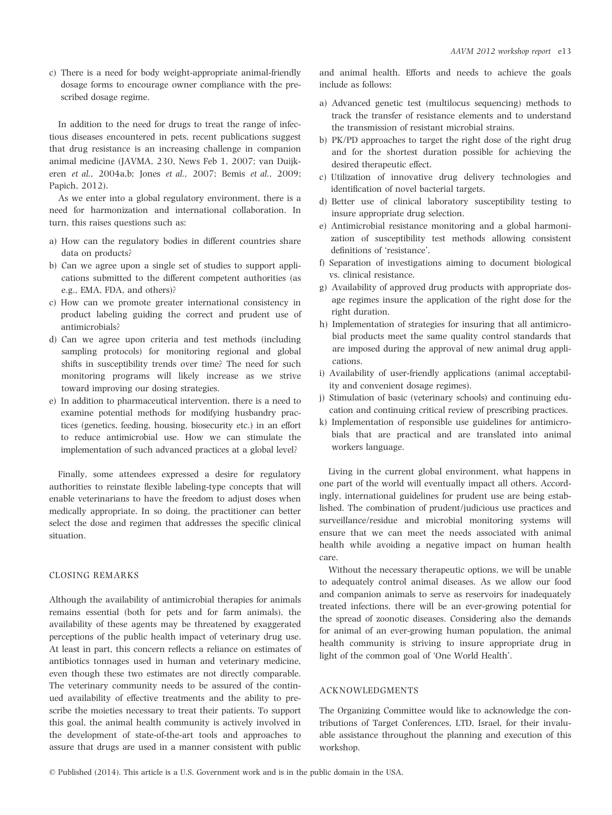c) There is a need for body weight-appropriate animal-friendly dosage forms to encourage owner compliance with the prescribed dosage regime.

In addition to the need for drugs to treat the range of infectious diseases encountered in pets, recent publications suggest that drug resistance is an increasing challenge in companion animal medicine (JAVMA, 230, News Feb 1, 2007; van Duijkeren et al., 2004a,b; Jones et al., 2007; Bemis et al., 2009; Papich, 2012).

As we enter into a global regulatory environment, there is a need for harmonization and international collaboration. In turn, this raises questions such as:

- a) How can the regulatory bodies in different countries share data on products?
- b) Can we agree upon a single set of studies to support applications submitted to the different competent authorities (as e.g., EMA, FDA, and others)?
- c) How can we promote greater international consistency in product labeling guiding the correct and prudent use of antimicrobials?
- d) Can we agree upon criteria and test methods (including sampling protocols) for monitoring regional and global shifts in susceptibility trends over time? The need for such monitoring programs will likely increase as we strive toward improving our dosing strategies.
- e) In addition to pharmaceutical intervention, there is a need to examine potential methods for modifying husbandry practices (genetics, feeding, housing, biosecurity etc.) in an effort to reduce antimicrobial use. How we can stimulate the implementation of such advanced practices at a global level?

Finally, some attendees expressed a desire for regulatory authorities to reinstate flexible labeling-type concepts that will enable veterinarians to have the freedom to adjust doses when medically appropriate. In so doing, the practitioner can better select the dose and regimen that addresses the specific clinical situation.

#### CLOSING REMARKS

Although the availability of antimicrobial therapies for animals remains essential (both for pets and for farm animals), the availability of these agents may be threatened by exaggerated perceptions of the public health impact of veterinary drug use. At least in part, this concern reflects a reliance on estimates of antibiotics tonnages used in human and veterinary medicine, even though these two estimates are not directly comparable. The veterinary community needs to be assured of the continued availability of effective treatments and the ability to prescribe the moieties necessary to treat their patients. To support this goal, the animal health community is actively involved in the development of state-of-the-art tools and approaches to assure that drugs are used in a manner consistent with public

and animal health. Efforts and needs to achieve the goals include as follows:

- a) Advanced genetic test (multilocus sequencing) methods to track the transfer of resistance elements and to understand the transmission of resistant microbial strains.
- b) PK/PD approaches to target the right dose of the right drug and for the shortest duration possible for achieving the desired therapeutic effect.
- c) Utilization of innovative drug delivery technologies and identification of novel bacterial targets.
- d) Better use of clinical laboratory susceptibility testing to insure appropriate drug selection.
- e) Antimicrobial resistance monitoring and a global harmonization of susceptibility test methods allowing consistent definitions of 'resistance'.
- f) Separation of investigations aiming to document biological vs. clinical resistance.
- g) Availability of approved drug products with appropriate dosage regimes insure the application of the right dose for the right duration.
- h) Implementation of strategies for insuring that all antimicrobial products meet the same quality control standards that are imposed during the approval of new animal drug applications.
- i) Availability of user-friendly applications (animal acceptability and convenient dosage regimes).
- j) Stimulation of basic (veterinary schools) and continuing education and continuing critical review of prescribing practices.
- k) Implementation of responsible use guidelines for antimicrobials that are practical and are translated into animal workers language.

Living in the current global environment, what happens in one part of the world will eventually impact all others. Accordingly, international guidelines for prudent use are being established. The combination of prudent/judicious use practices and surveillance/residue and microbial monitoring systems will ensure that we can meet the needs associated with animal health while avoiding a negative impact on human health care.

Without the necessary therapeutic options, we will be unable to adequately control animal diseases. As we allow our food and companion animals to serve as reservoirs for inadequately treated infections, there will be an ever-growing potential for the spread of zoonotic diseases. Considering also the demands for animal of an ever-growing human population, the animal health community is striving to insure appropriate drug in light of the common goal of 'One World Health'.

# ACKNOWLEDGMENTS

The Organizing Committee would like to acknowledge the contributions of Target Conferences, LTD, Israel, for their invaluable assistance throughout the planning and execution of this workshop.

© Published (2014). This article is a U.S. Government work and is in the public domain in the USA.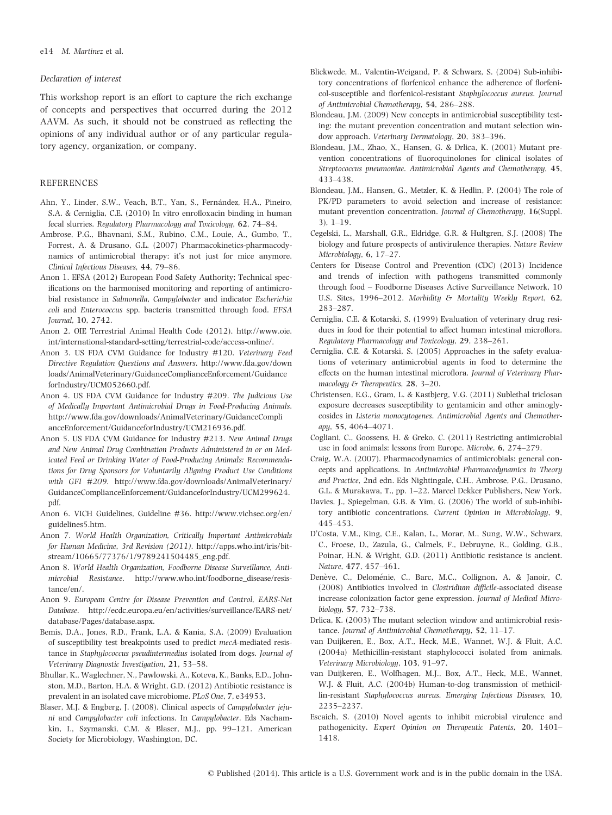#### Declaration of interest

This workshop report is an effort to capture the rich exchange of concepts and perspectives that occurred during the 2012 AAVM. As such, it should not be construed as reflecting the opinions of any individual author or of any particular regulatory agency, organization, or company.

## REFERENCES

- Ahn, Y., Linder, S.W., Veach, B.T., Yan, S., Fernández, H.A., Pineiro, S.A. & Cerniglia, C.E. (2010) In vitro enrofloxacin binding in human fecal slurries. Regulatory Pharmacology and Toxicology, 62, 74–84.
- Ambrose, P.G., Bhavnani, S.M., Rubino, C.M., Louie, A., Gumbo, T., Forrest, A. & Drusano, G.L. (2007) Pharmacokinetics-pharmacodynamics of antimicrobial therapy: it's not just for mice anymore. Clinical Infectious Diseases, 44, 79–86.
- Anon 1. EFSA (2012) European Food Safety Authority; Technical specifications on the harmonised monitoring and reporting of antimicrobial resistance in Salmonella, Campylobacter and indicator Escherichia coli and Enterococcus spp. bacteria transmitted through food. EFSA Journal, 10, 2742.
- Anon 2. OIE Terrestrial Animal Health Code (2012). http://www.oie. int/international-standard-setting/terrestrial-code/access-online/.
- Anon 3. US FDA CVM Guidance for Industry #120. Veterinary Feed Directive Regulation Questions and Answers. http://www.fda.gov/down loads/AnimalVeterinary/GuidanceComplianceEnforcement/Guidance forIndustry/UCM052660.pdf.
- Anon 4. US FDA CVM Guidance for Industry #209. The Judicious Use of Medically Important Antimicrobial Drugs in Food-Producing Animals. http://www.fda.gov/downloads/AnimalVeterinary/GuidanceCompli anceEnforcement/GuidanceforIndustry/UCM216936.pdf.
- Anon 5. US FDA CVM Guidance for Industry #213. New Animal Drugs and New Animal Drug Combination Products Administered in or on Medicated Feed or Drinking Water of Food-Producing Animals: Recommendations for Drug Sponsors for Voluntarily Aligning Product Use Conditions with GFI #209. http://www.fda.gov/downloads/AnimalVeterinary/ GuidanceComplianceEnforcement/GuidanceforIndustry/UCM299624. pdf.
- Anon 6. VICH Guidelines, Guideline #36. http://www.vichsec.org/en/ guidelines5.htm.
- Anon 7. World Health Organization, Critically Important Antimicrobials for Human Medicine, 3rd Revision (2011). http://apps.who.int/iris/bitstream/10665/77376/1/9789241504485\_eng.pdf.
- Anon 8. World Health Organization, Foodborne Disease Surveillance, Antimicrobial Resistance. http://www.who.int/foodborne\_disease/resistance/en/.
- Anon 9. European Centre for Disease Prevention and Control, EARS-Net Database. http://ecdc.europa.eu/en/activities/surveillance/EARS-net/ database/Pages/database.aspx.
- Bemis, D.A., Jones, R.D., Frank, L.A. & Kania, S.A. (2009) Evaluation of susceptibility test breakpoints used to predict mecA-mediated resistance in Staphylococcus pseudintermedius isolated from dogs. Journal of Veterinary Diagnostic Investigation, 21, 53–58.
- Bhullar, K., Waglechner, N., Pawlowski, A., Koteva, K., Banks, E.D., Johnston, M.D., Barton, H.A. & Wright, G.D. (2012) Antibiotic resistance is prevalent in an isolated cave microbiome. PLoS One, 7, e34953.
- Blaser, M.J. & Engberg, J. (2008). Clinical aspects of Campylobacter jejuni and Campylobacter coli infections. In Campylobacter. Eds Nachamkin, I., Szymanski, C.M. & Blaser, M.J., pp. 99–121. American Society for Microbiology, Washington, DC.
- Blickwede, M., Valentin-Weigand, P. & Schwarz, S. (2004) Sub-inhibitory concentrations of florfenicol enhance the adherence of florfenicol-susceptible and florfenicol-resistant Staphylococcus aureus. Journal of Antimicrobial Chemotherapy, 54, 286–288.
- Blondeau, J.M. (2009) New concepts in antimicrobial susceptibility testing: the mutant prevention concentration and mutant selection window approach. Veterinary Dermatology, 20, 383–396.
- Blondeau, J.M., Zhao, X., Hansen, G. & Drlica, K. (2001) Mutant prevention concentrations of fluoroquinolones for clinical isolates of Streptococcus pneumoniae. Antimicrobial Agents and Chemotherapy, 45, 433–438.
- Blondeau, J.M., Hansen, G., Metzler, K. & Hedlin, P. (2004) The role of PK/PD parameters to avoid selection and increase of resistance: mutant prevention concentration. Journal of Chemotherapy, 16(Suppl. 3), 1–19.
- Cegelski, L., Marshall, G.R., Eldridge, G.R. & Hultgren, S.J. (2008) The biology and future prospects of antivirulence therapies. Nature Review Microbiology, 6, 17–27.
- Centers for Disease Control and Prevention (CDC) (2013) Incidence and trends of infection with pathogens transmitted commonly through food – Foodborne Diseases Active Surveillance Network, 10 U.S. Sites, 1996–2012. Morbidity & Mortality Weekly Report, 62, 283–287.
- Cerniglia, C.E. & Kotarski, S. (1999) Evaluation of veterinary drug residues in food for their potential to affect human intestinal microflora. Regulatory Pharmacology and Toxicology, 29, 238–261.
- Cerniglia, C.E. & Kotarski, S. (2005) Approaches in the safety evaluations of veterinary antimicrobial agents in food to determine the effects on the human intestinal microflora. Journal of Veterinary Pharmacology  $\⊂>5$  Therapeutics, 28, 3–20.
- Christensen, E.G., Gram, L. & Kastbjerg, V.G. (2011) Sublethal triclosan exposure decreases susceptibility to gentamicin and other aminoglycosides in Listeria monocytogenes. Antimicrobial Agents and Chemotherapy, 55, 4064–4071.
- Cogliani, C., Goossens, H. & Greko, C. (2011) Restricting antimicrobial use in food animals: lessons from Europe. Microbe, 6, 274–279.
- Craig, W.A. (2007). Pharmacodynamics of antimicrobials: general concepts and applications. In Antimicrobial Pharmacodynamics in Theory and Practice, 2nd edn. Eds Nightingale, C.H., Ambrose, P.G., Drusano, G.L. & Murakawa, T., pp. 1–22. Marcel Dekker Publishers, New York.
- Davies, J., Spiegelman, G.B. & Yim, G. (2006) The world of sub-inhibitory antibiotic concentrations. Current Opinion in Microbiology, 9, 445–453.
- D'Costa, V.M., King, C.E., Kalan, L., Morar, M., Sung, W.W., Schwarz, C., Froese, D., Zazula, G., Calmels, F., Debruyne, R., Golding, G.B., Poinar, H.N. & Wright, G.D. (2011) Antibiotic resistance is ancient. Nature, 477, 457–461.
- Denève, C., Deloménie, C., Barc, M.C., Collignon, A. & Janoir, C. (2008) Antibiotics involved in Clostridium difficile-associated disease increase colonization factor gene expression. Journal of Medical Microbiology, 57, 732–738.
- Drlica, K. (2003) The mutant selection window and antimicrobial resistance. Journal of Antimicrobial Chemotherapy, 52, 11–17.
- van Duijkeren, E., Box, A.T., Heck, M.E., Wannet, W.J. & Fluit, A.C. (2004a) Methicillin-resistant staphylococci isolated from animals. Veterinary Microbiology, 103, 91–97.
- van Duijkeren, E., Wolfhagen, M.J., Box, A.T., Heck, M.E., Wannet, W.J. & Fluit, A.C. (2004b) Human-to-dog transmission of methicillin-resistant Staphylococcus aureus. Emerging Infectious Diseases, 10, 2235–2237.
- Escaich, S. (2010) Novel agents to inhibit microbial virulence and pathogenicity. Expert Opinion on Therapeutic Patents, 20, 1401– 1418.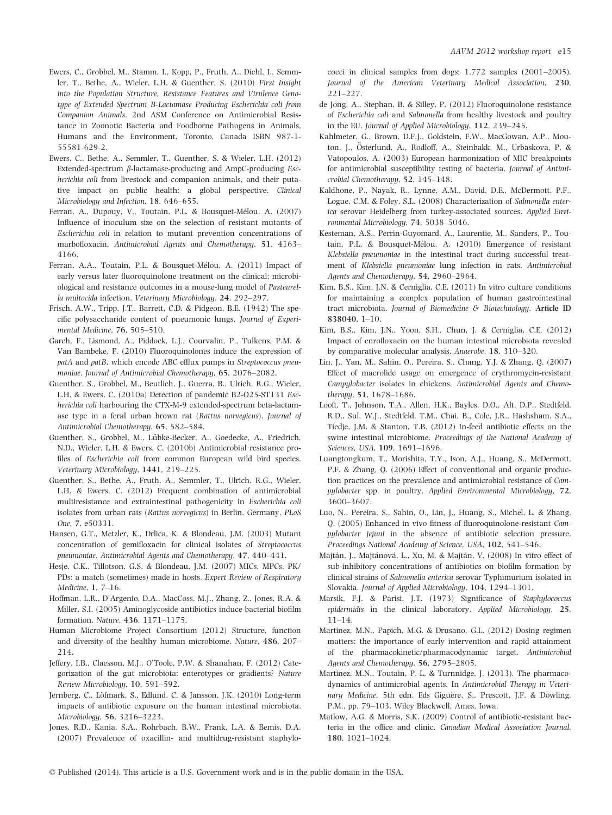- Ewers, C., Grobbel, M., Stamm, I., Kopp, P., Fruth, A., Diehl, I., Semmler, T., Bethe, A., Wieler, L.H. & Guenther, S. (2010) First Insight into the Population Structure, Resistance Features and Virulence Genotype of Extended Spectrum B-Lactamase Producing Escherichia coli from Companion Animals. 2nd ASM Conference on Antimicrobial Resistance in Zoonotic Bacteria and Foodborne Pathogens in Animals, Humans and the Environment, Toronto, Canada ISBN 987-1- 55581-629-2.
- Ewers, C., Bethe, A., Semmler, T., Guenther, S. & Wieler, L.H. (2012) Extended-spectrum  $\beta$ -lactamase-producing and AmpC-producing Escherichia coli from livestock and companion animals, and their putative impact on public health: a global perspective. Clinical Microbiology and Infection, 18, 646–655.
- Ferran, A., Dupouy, V., Toutain, P.L. & Bousquet-Melou, A. (2007) Influence of inoculum size on the selection of resistant mutants of Escherichia coli in relation to mutant prevention concentrations of marbofloxacin. Antimicrobial Agents and Chemotherapy, 51, 4163– 4166.
- Ferran, A.A., Toutain, P.L. & Bousquet-Melou, A. (2011) Impact of early versus later fluoroquinolone treatment on the clinical; microbiological and resistance outcomes in a mouse-lung model of Pasteurella multocida infection. Veterinary Microbiology, 24, 292–297.
- Frisch, A.W., Tripp, J.T., Barrett, C.D. & Pidgeon, B.E. (1942) The specific polysaccharide content of pneumonic lungs. Journal of Experimental Medicine, 76, 505–510.
- Garch, F., Lismond, A., Piddock, L.J., Courvalin, P., Tulkens, P.M. & Van Bambeke, F. (2010) Fluoroquinolones induce the expression of patA and patB, which encode ABC efflux pumps in Streptococcus pneumoniae. Journal of Antimicrobial Chemotherapy, 65, 2076–2082.
- Guenther, S., Grobbel, M., Beutlich, J., Guerra, B., Ulrich, R.G., Wieler, L.H. & Ewers, C. (2010a) Detection of pandemic B2-O25-ST131 Escherichia coli harbouring the CTX-M-9 extended-spectrum beta-lactamase type in a feral urban brown rat (Rattus norvegicus). Journal of Antimicrobial Chemotherapy, 65, 582–584.
- Guenther, S., Grobbel, M., Lübke-Becker, A., Goedecke, A., Friedrich, N.D., Wieler, L.H. & Ewers, C. (2010b) Antimicrobial resistance profiles of Escherichia coli from common European wild bird species. Veterinary Microbiology, <sup>1441</sup>, 219–225.
- Guenther, S., Bethe, A., Fruth, A., Semmler, T., Ulrich, R.G., Wieler, L.H. & Ewers, C. (2012) Frequent combination of antimicrobial multiresistance and extraintestinal pathogenicity in Escherichia coli isolates from urban rats (Rattus norvegicus) in Berlin, Germany. PLoS One, 7, e50331.
- Hansen, G.T., Metzler, K., Drlica, K. & Blondeau, J.M. (2003) Mutant concentration of gemifloxacin for clinical isolates of Streptococcus pneumoniae. Antimicrobial Agents and Chemotherapy, 47, 440–441.
- Hesje, C.K., Tillotson, G.S. & Blondeau, J.M. (2007) MICs, MPCs, PK/ PDs: a match (sometimes) made in hosts. Expert Review of Respiratory Medicine, 1, 7–16.
- Hoffman, L.R., D'Argenio, D.A., MacCoss, M.J., Zhang, Z., Jones, R.A. & Miller, S.I. (2005) Aminoglycoside antibiotics induce bacterial biofilm formation. Nature, 436, 1171–1175.
- Human Microbiome Project Consortium (2012) Structure, function and diversity of the healthy human microbiome. Nature, 486, 207– 214.
- Jeffery, I.B., Claesson, M.J., O'Toole, P.W. & Shanahan, F. (2012) Categorization of the gut microbiota: enterotypes or gradients? Nature Review Microbiology, 10, 591–592.
- Jernberg, C., Löfmark, S., Edlund, C. & Jansson, J.K. (2010) Long-term impacts of antibiotic exposure on the human intestinal microbiota. Microbiology, 56, 3216–3223.
- Jones, R.D., Kania, S.A., Rohrbach, B.W., Frank, L.A. & Bemis, D.A. (2007) Prevalence of oxacillin- and multidrug-resistant staphylo-

cocci in clinical samples from dogs: 1,772 samples (2001–2005). Journal of the American Veterinary Medical Association, 230, 221–227.

- de Jong, A., Stephan, B. & Silley, P. (2012) Fluoroquinolone resistance of Escherichia coli and Salmonella from healthy livestock and poultry in the EU. Journal of Applied Microbiology, 112, 239–245.
- Kahlmeter, G., Brown, D.F.J., Goldstein, F.W., MacGowan, A.P., Mouton, L. Österlund, A., Rodloff, A., Steinbakk, M., Urbaskova, P. & Vatopoulos, A. (2003) European harmonization of MIC breakpoints for antimicrobial susceptibility testing of bacteria. Journal of Antimicrobial Chemotherapy, 52, 145–148.
- Kaldhone, P., Nayak, R., Lynne, A.M., David, D.E., McDermott, P.F., Logue, C.M. & Foley, S.L. (2008) Characterization of Salmonella enterica serovar Heidelberg from turkey-associated sources. Applied Environmental Microbiology, 74, 5038–5046.
- Kesteman, A.S., Perrin-Guyomard, A., Laurentie, M., Sanders, P., Toutain, P.L. & Bousquet-Melou, A. (2010) Emergence of resistant Klebsiella pneumoniae in the intestinal tract during successful treatment of Klebsiella pneumoniae lung infection in rats. Antimicrobial Agents and Chemotherapy, 54, 2960–2964.
- Kim, B.S., Kim, J.N. & Cerniglia, C.E. (2011) In vitro culture conditions for maintaining a complex population of human gastrointestinal tract microbiota. Journal of Biomedicine & Biotechnology, Article ID 838040. 1-10.
- 838040, 1–10. Kim, B.S., Kim, J.N., Yoon, S.H., Chun, J. & Cerniglia, C.E. (2012) Impact of enrofloxacin on the human intestinal microbiota revealed by comparative molecular analysis. Anaerobe, 18, 310–320.
- Lin, J., Yan, M., Sahin, O., Pereira, S., Chang, Y.J. & Zhang, Q. (2007) Effect of macrolide usage on emergence of erythromycin-resistant Campylobacter isolates in chickens. Antimicrobial Agents and Chemotherapy, 51, 1678–1686.
- Looft, T., Johnson, T.A., Allen, H.K., Bayles, D.O., Alt, D.P., Stedtfeld, R.D., Sul, W.J., Stedtfeld, T.M., Chai, B., Cole, J.R., Hashsham, S.A., Tiedje, J.M. & Stanton, T.B. (2012) In-feed antibiotic effects on the swine intestinal microbiome. Proceedings of the National Academy of Sciences, USA, 109, 1691–1696.
- Luangtongkum, T., Morishita, T.Y., Ison, A.J., Huang, S., McDermott, P.F. & Zhang, Q. (2006) Effect of conventional and organic production practices on the prevalence and antimicrobial resistance of Campylobacter spp. in poultry. Applied Environmental Microbiology, 72, 3600–3607.
- Luo, N., Pereira, S., Sahin, O., Lin, J., Huang, S., Michel, L. & Zhang, Q. (2005) Enhanced in vivo fitness of fluoroquinolone-resistant Campylobacter jejuni in the absence of antibiotic selection pressure. Proceedings National Academy of Science, USA, 102, 541–546.
- Majtán, J., Majtánová, L., Xu, M. & Majtán, V. (2008) In vitro effect of sub-inhibitory concentrations of antibiotics on biofilm formation by clinical strains of Salmonella enterica serovar Typhimurium isolated in Slovakia. Journal of Applied Microbiology, 104, 1294–1301.
- Marsik, F.J. & Parisi, J.T. (1973) Significance of Staphylococcus epidermidis in the clinical laboratory. Applied Microbiology, 25, 11–14.
- Martinez, M.N., Papich, M.G. & Drusano, G.L. (2012) Dosing regimen matters: the importance of early intervention and rapid attainment of the pharmacokinetic/pharmacodynamic target. Antimicrobial Agents and Chemotherapy, 56, 2795–2805.
- Martinez, M.N., Toutain, P.-L. & Turnnidge, J. (2013). The pharmacodynamics of antimicrobial agents. In Antimicrobial Therapy in Veterinary Medicine, 5th edn. Eds Giguère, S., Prescott, J.F. & Dowling, P.M., pp. 79–103. Wiley Blackwell, Ames, Iowa.
- Matlow, A.G. & Morris, S.K. (2009) Control of antibiotic-resistant bacteria in the office and clinic. Canadian Medical Association Journal, 180, 1021–1024.